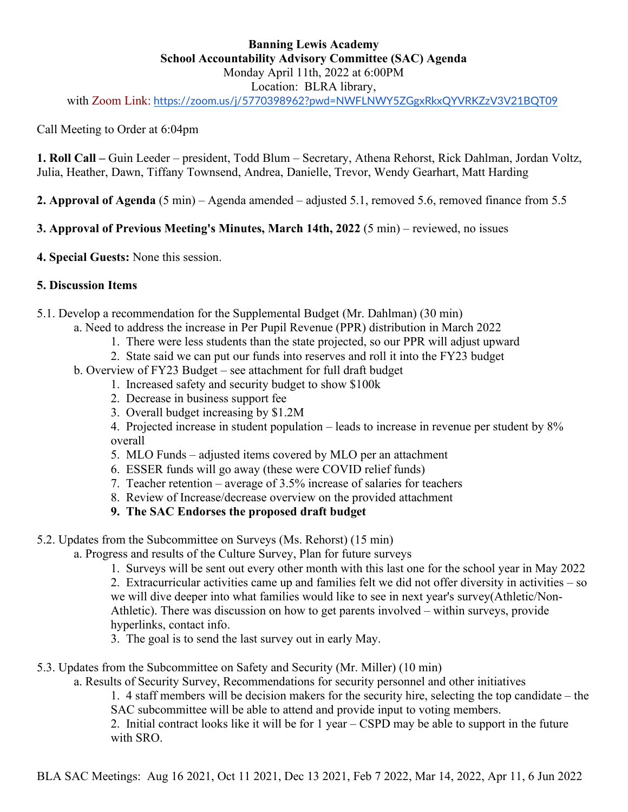# **Banning Lewis Academy School Accountability Advisory Committee (SAC) Agenda** Monday April 11th, 2022 at 6:00PM Location: BLRA library,

with Zoom Link: <https://zoom.us/j/5770398962?pwd=NWFLNWY5ZGgxRkxQYVRKZzV3V21BQT09>

Call Meeting to Order at 6:04pm

**1. Roll Call –** Guin Leeder – president, Todd Blum – Secretary, Athena Rehorst, Rick Dahlman, Jordan Voltz, Julia, Heather, Dawn, Tiffany Townsend, Andrea, Danielle, Trevor, Wendy Gearhart, Matt Harding

**2. Approval of Agenda** (5 min) – Agenda amended – adjusted 5.1, removed 5.6, removed finance from 5.5

**3. Approval of Previous Meeting's Minutes, March 14th, 2022** (5 min) – reviewed, no issues

**4. Special Guests:** None this session.

### **5. Discussion Items**

5.1. Develop a recommendation for the Supplemental Budget (Mr. Dahlman) (30 min)

- a. Need to address the increase in Per Pupil Revenue (PPR) distribution in March 2022
	- 1. There were less students than the state projected, so our PPR will adjust upward
	- 2. State said we can put our funds into reserves and roll it into the FY23 budget
- b. Overview of FY23 Budget see attachment for full draft budget
	- 1. Increased safety and security budget to show \$100k
		- 2. Decrease in business support fee
		- 3. Overall budget increasing by \$1.2M

4. Projected increase in student population – leads to increase in revenue per student by 8% overall

- 5. MLO Funds adjusted items covered by MLO per an attachment
- 6. ESSER funds will go away (these were COVID relief funds)
- 7. Teacher retention average of 3.5% increase of salaries for teachers
- 8. Review of Increase/decrease overview on the provided attachment

## **9. The SAC Endorses the proposed draft budget**

5.2. Updates from the Subcommittee on Surveys (Ms. Rehorst) (15 min)

a. Progress and results of the Culture Survey, Plan for future surveys

1. Surveys will be sent out every other month with this last one for the school year in May 2022

2. Extracurricular activities came up and families felt we did not offer diversity in activities – so we will dive deeper into what families would like to see in next year's survey(Athletic/Non-Athletic). There was discussion on how to get parents involved – within surveys, provide hyperlinks, contact info.

3. The goal is to send the last survey out in early May.

- 5.3. Updates from the Subcommittee on Safety and Security (Mr. Miller) (10 min)
	- a. Results of Security Survey, Recommendations for security personnel and other initiatives

1. 4 staff members will be decision makers for the security hire, selecting the top candidate – the SAC subcommittee will be able to attend and provide input to voting members.

2. Initial contract looks like it will be for 1 year – CSPD may be able to support in the future with SRO.